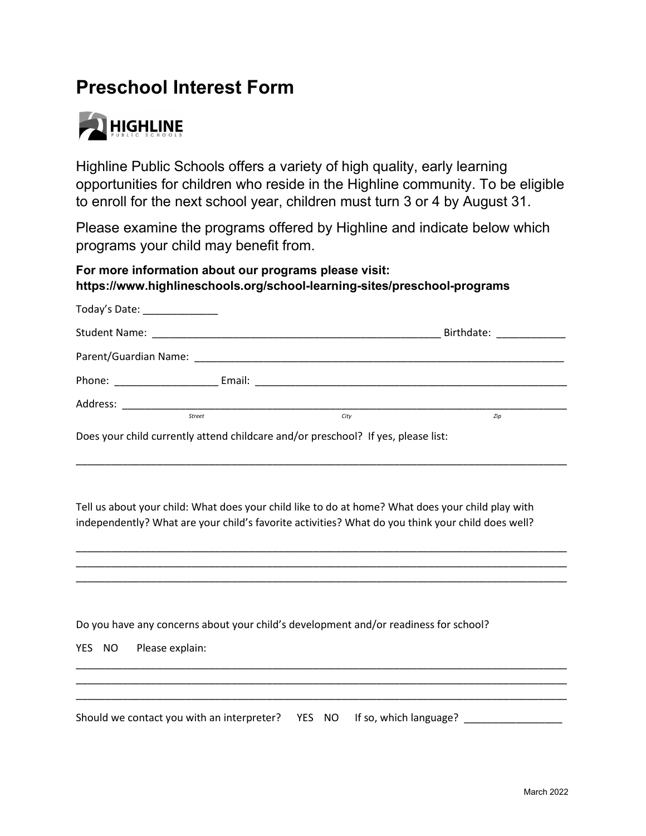# **Preschool Interest Form**



Highline Public Schools offers a variety of high quality, early learning opportunities for children who reside in the Highline community. To be eligible to enroll for the next school year, children must turn 3 or 4 by August 31.

Please examine the programs offered by Highline and indicate below which programs your child may benefit from.

#### **For more information about our programs please visit: https://www.highlineschools.org/school-learning-sites/preschool-programs**

| Today's Date: _______________                                                                                     |  |  |                              |  |  |  |
|-------------------------------------------------------------------------------------------------------------------|--|--|------------------------------|--|--|--|
|                                                                                                                   |  |  | Birthdate: National Assembly |  |  |  |
|                                                                                                                   |  |  |                              |  |  |  |
|                                                                                                                   |  |  |                              |  |  |  |
|                                                                                                                   |  |  |                              |  |  |  |
| <b>Street</b><br>City<br>Zip<br>Does your child currently attend childcare and/or preschool? If yes, please list: |  |  |                              |  |  |  |

Tell us about your child: What does your child like to do at home? What does your child play with independently? What are your child's favorite activities? What do you think your child does well?

\_\_\_\_\_\_\_\_\_\_\_\_\_\_\_\_\_\_\_\_\_\_\_\_\_\_\_\_\_\_\_\_\_\_\_\_\_\_\_\_\_\_\_\_\_\_\_\_\_\_\_\_\_\_\_\_\_\_\_\_\_\_\_\_\_\_\_\_\_\_\_\_\_\_\_\_\_\_\_\_\_\_\_\_\_ \_\_\_\_\_\_\_\_\_\_\_\_\_\_\_\_\_\_\_\_\_\_\_\_\_\_\_\_\_\_\_\_\_\_\_\_\_\_\_\_\_\_\_\_\_\_\_\_\_\_\_\_\_\_\_\_\_\_\_\_\_\_\_\_\_\_\_\_\_\_\_\_\_\_\_\_\_\_\_\_\_\_\_\_\_ \_\_\_\_\_\_\_\_\_\_\_\_\_\_\_\_\_\_\_\_\_\_\_\_\_\_\_\_\_\_\_\_\_\_\_\_\_\_\_\_\_\_\_\_\_\_\_\_\_\_\_\_\_\_\_\_\_\_\_\_\_\_\_\_\_\_\_\_\_\_\_\_\_\_\_\_\_\_\_\_\_\_\_\_\_

Do you have any concerns about your child's development and/or readiness for school?

| YES NO Please explain:                                                    |  |  |  |  |  |
|---------------------------------------------------------------------------|--|--|--|--|--|
|                                                                           |  |  |  |  |  |
| Should we contact you with an interpreter?  YES NO If so, which language? |  |  |  |  |  |